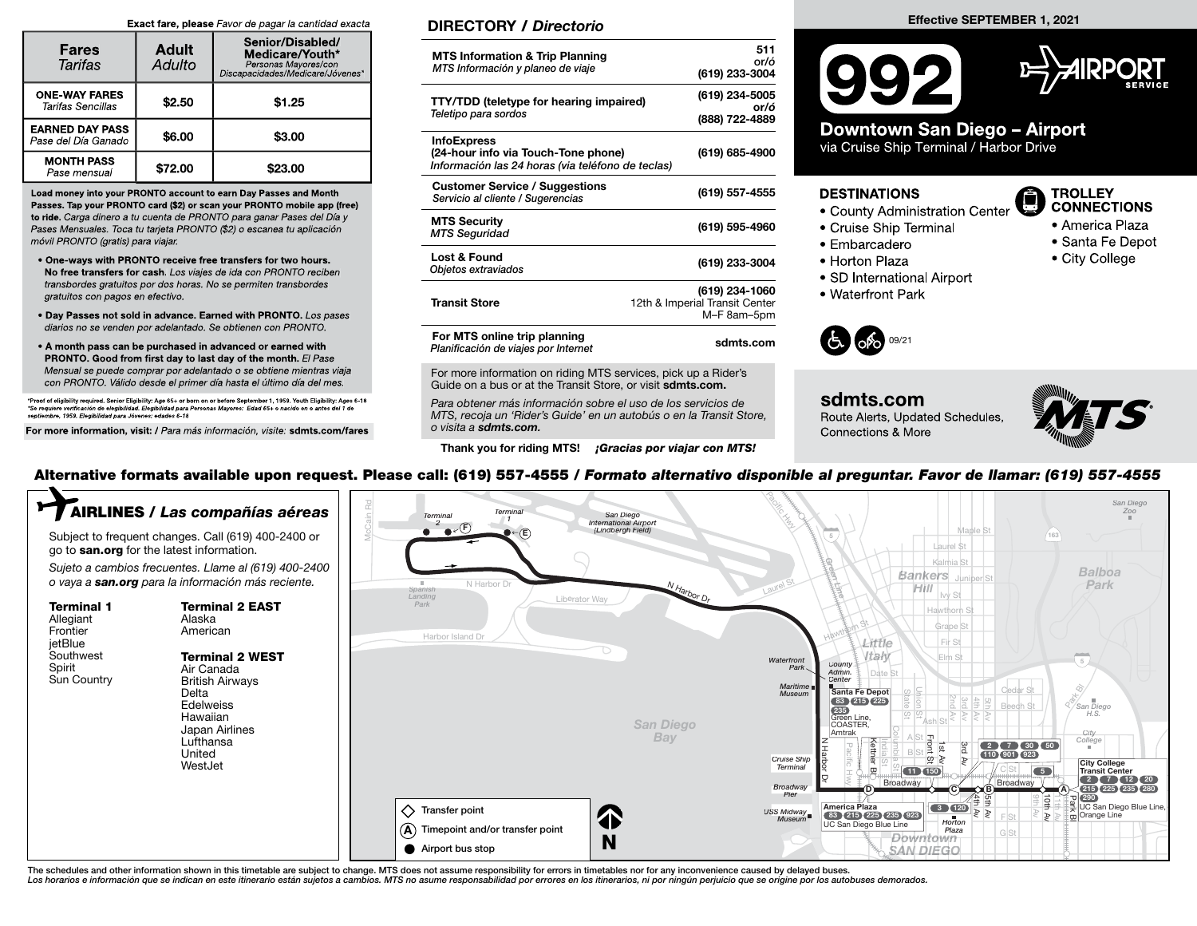#### Exact fare, please Favor de pagar la cantidad exacta

| <b>Fares</b><br>Tarifas                       | <b>Adult</b><br>Adulto | Senior/Disabled/<br>Medicare/Youth*<br>Personas Mayores/con<br>Discapacidades/Medicare/Jóvenes* |  |  |
|-----------------------------------------------|------------------------|-------------------------------------------------------------------------------------------------|--|--|
| <b>ONE-WAY FARES</b><br>Tarifas Sencillas     | \$2.50                 | \$1.25                                                                                          |  |  |
| <b>EARNED DAY PASS</b><br>Pase del Día Ganado | \$6.00                 | \$3.00                                                                                          |  |  |
| <b>MONTH PASS</b><br>Pase mensual             | \$72.00                | \$23.00                                                                                         |  |  |

Load money into your PRONTO account to earn Day Passes and Month Passes. Tap your PRONTO card (\$2) or scan your PRONTO mobile app (free) to ride. Carga dinero a tu cuenta de PRONTO para ganar Pases del Día y Pases Mensuales. Toca tu tarjeta PRONTO (\$2) o escanea tu aplicación móvil PRONTO (gratis) para viajar.

- One-ways with PRONTO receive free transfers for two hours. No free transfers for cash. Los viajes de ida con PRONTO reciben transbordes gratuitos por dos horas. No se permiten transbordes gratuitos con pagos en efectivo.
- Day Passes not sold in advance. Earned with PRONTO. Los pases diarios no se venden por adelantado. Se obtienen con PRONTO.
- A month pass can be purchased in advanced or earned with PRONTO. Good from first day to last day of the month. El Pase Mensual se puede comprar por adelantado o se obtiene mientras viaja con PRONTO. Válido desde el primer día hasta el último día del mes.

\*Proof of eligibility required. Senior Eligibility: Age 65+ or born on or before September 1, 1959. Youth Eligibility: Ages 6-18 \*Se requiere verifi cación de elegibilidad. Elegibilidad para Personas Mayores: Edad 65+ o nacido en o antes del 1 de septiembre, 1959. Elegibilidad para Jóvenes: edades 6-18

For more information, visit: / Para más información, visite: sdmts.com/fares

### DIRECTORY / Directorio

| <b>MTS Information &amp; Trip Planning</b><br>MTS Información y planeo de viaje                                | 511<br>or/ó<br>(619) 233-3004                                   |
|----------------------------------------------------------------------------------------------------------------|-----------------------------------------------------------------|
| <b>TTY/TDD (teletype for hearing impaired)</b><br>Teletipo para sordos                                         | (619) 234-5005<br>or/ó<br>(888) 722-4889                        |
| <b>InfoExpress</b><br>(24-hour info via Touch-Tone phone)<br>Información las 24 horas (via teléfono de teclas) | (619) 685-4900                                                  |
| <b>Customer Service / Suggestions</b><br>Servicio al cliente / Sugerencias                                     | (619) 557-4555                                                  |
| <b>MTS Security</b><br><b>MTS Seguridad</b>                                                                    | (619) 595-4960                                                  |
| Lost & Found<br>Objetos extraviados                                                                            | (619) 233-3004                                                  |
| <b>Transit Store</b>                                                                                           | (619) 234-1060<br>12th & Imperial Transit Center<br>M-F 8am-5pm |
| For MTS online trip planning<br>Planificación de viajes por Internet                                           | sdmts.com                                                       |

For more information on riding MTS services, pick up a Rider's Guide on a bus or at the Transit Store, or visit sdmts.com.

Para obtener más información sobre el uso de los servicios de MTS, recoja un 'Rider's Guide' en un autobús o en la Transit Store, o visita a sdmts.com.

Thank you for riding MTS! *¡Gracias por viajar con MTS!* 





# Downtown San Diego - Airport

via Cruise Ship Terminal / Harbor Drive

#### **DESTINATIONS**

- County Administration Center
- Cruise Ship Terminal
- Embarcadero
- 
- Horton Plaza
- SD International Airport
- Waterfront Park



sdmts.com Route Alerts, Updated Schedules, Connections & More



**TROLLEY CONNECTIONS** 

• America Plaza

• City College

• Santa Fe Depot

## Alternative formats available upon request. Please call: (619) 557-4555 / Formato alternativo disponible al preguntar. Favor de llamar: (619) 557-4555



The schedules and other information shown in this timetable are subject to change. MTS does not assume responsibility for errors in timetables nor for any inconvenience caused by delayed buses. Los horarios e información que se indican en este itinerario están sujetos a cambios. MTS no asume responsabilidad por errores en los itinerarios, ni por ningún perjuicio que se origine por los autobuses demorados.